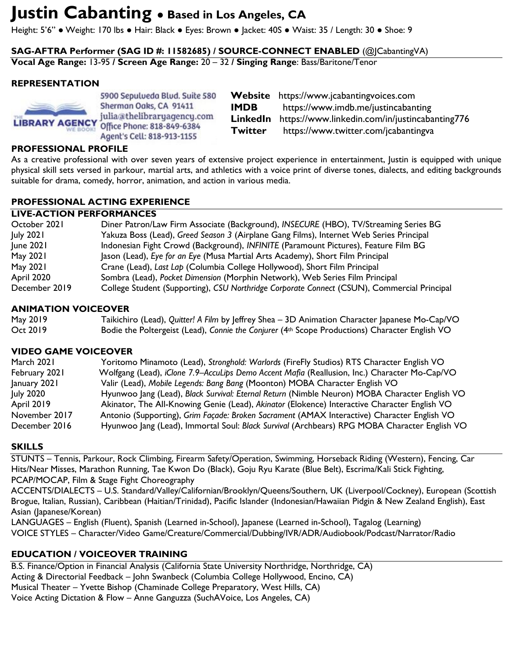# **Justin Cabanting ● Based in Los Angeles, CA**

Height: 5'6" ● Weight: 170 lbs ● Hair: Black ● Eyes: Brown ● Jacket: 40S ● Waist: 35 / Length: 30 ● Shoe: 9

**SAG-AFTRA Performer (SAG ID #: 11582685) / SOURCE-CONNECT ENABLED** (@JCabantingVA)

**Vocal Age Range:** 13-95 **/ Screen Age Range:** 20 – 32 **/ Singing Range**: Bass/Baritone/Tenor

## **REPRESENTATION**



5900 Sepulveda Blud. Suite 580 Sherman Oaks, CA 91411 julia@thelibraryagency.com Office Phone: 818-849-6384 Agent's Cell: 818-913-1155

**Website** https://www.jcabantingvoices.com **IMDB** https://www.imdb.me/justincabanting **LinkedIn** https://www.linkedin.com/in/justincabanting776 **Twitter** https://www.twitter.com/jcabantingva

## **PROFESSIONAL PROFILE**

As a creative professional with over seven years of extensive project experience in entertainment, Justin is equipped with unique physical skill sets versed in parkour, martial arts, and athletics with a voice print of diverse tones, dialects, and editing backgrounds suitable for drama, comedy, horror, animation, and action in various media.

## **PROFESSIONAL ACTING EXPERIENCE**

#### **LIVE-ACTION PERFORMANCES**

| October 2021  | Diner Patron/Law Firm Associate (Background), INSECURE (HBO), TV/Streaming Series BG        |
|---------------|---------------------------------------------------------------------------------------------|
| July 2021     | Yakuza Boss (Lead), Greed Season 3 (Airplane Gang Films), Internet Web Series Principal     |
| June 2021     | Indonesian Fight Crowd (Background), INFINITE (Paramount Pictures), Feature Film BG         |
| May 2021      | Jason (Lead), Eye for an Eye (Musa Martial Arts Academy), Short Film Principal              |
| May 2021      | Crane (Lead), Last Lap (Columbia College Hollywood), Short Film Principal                   |
| April 2020    | Sombra (Lead), Pocket Dimension (Morphin Network), Web Series Film Principal                |
| December 2019 | College Student (Supporting), CSU Northridge Corporate Connect (CSUN), Commercial Principal |

## **ANIMATION VOICEOVER**

| May 2019 | Taikichiro (Lead), Quitter! A Film by Jeffrey Shea - 3D Animation Character Japanese Mo-Cap/VO |
|----------|------------------------------------------------------------------------------------------------|
| Oct 2019 | Bodie the Poltergeist (Lead), Connie the Conjurer (4th Scope Productions) Character English VO |

## **VIDEO GAME VOICEOVER**

| March 2021        | Yoritomo Minamoto (Lead), Stronghold: Warlords (FireFly Studios) RTS Character English VO     |
|-------------------|-----------------------------------------------------------------------------------------------|
| February 2021     | Wolfgang (Lead), iClone 7.9-AccuLips Demo Accent Mafia (Reallusion, Inc.) Character Mo-Cap/VO |
| January 2021      | Valir (Lead), Mobile Legends: Bang Bang (Moonton) MOBA Character English VO                   |
| July 2020         | Hyunwoo Jang (Lead), Black Survival: Eternal Return (Nimble Neuron) MOBA Character English VO |
| <b>April 2019</b> | Akinator, The All-Knowing Genie (Lead), Akinator (Elokence) Interactive Character English VO  |
| November 2017     | Antonio (Supporting), Grim Façade: Broken Sacrament (AMAX Interactive) Character English VO   |
| December 2016     | Hyunwoo Jang (Lead), Immortal Soul: Black Survival (Archbears) RPG MOBA Character English VO  |

## **SKILLS**

STUNTS – Tennis, Parkour, Rock Climbing, Firearm Safety/Operation, Swimming, Horseback Riding (Western), Fencing, Car Hits/Near Misses, Marathon Running, Tae Kwon Do (Black), Goju Ryu Karate (Blue Belt), Escrima/Kali Stick Fighting, PCAP/MOCAP, Film & Stage Fight Choreography

ACCENTS/DIALECTS – U.S. Standard/Valley/Californian/Brooklyn/Queens/Southern, UK (Liverpool/Cockney), European (Scottish Brogue, Italian, Russian), Caribbean (Haitian/Trinidad), Pacific Islander (Indonesian/Hawaiian Pidgin & New Zealand English), East Asian (Japanese/Korean)

LANGUAGES – English (Fluent), Spanish (Learned in-School), Japanese (Learned in-School), Tagalog (Learning) VOICE STYLES – Character/Video Game/Creature/Commercial/Dubbing/IVR/ADR/Audiobook/Podcast/Narrator/Radio

# **EDUCATION / VOICEOVER TRAINING**

B.S. Finance/Option in Financial Analysis (California State University Northridge, Northridge, CA) Acting & Directorial Feedback – John Swanbeck (Columbia College Hollywood, Encino, CA) Musical Theater – Yvette Bishop (Chaminade College Preparatory, West Hills, CA) Voice Acting Dictation & Flow – Anne Ganguzza (SuchAVoice, Los Angeles, CA)